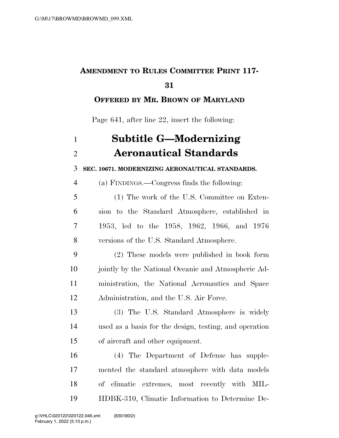## **AMENDMENT TO RULES COMMITTEE PRINT 117-**

## **OFFERED BY MR. BROWN OF MARYLAND**

Page 641, after line 22, insert the following:

| $\mathbf{1}$   | <b>Subtitle G-Modernizing</b>                          |
|----------------|--------------------------------------------------------|
| $\overline{2}$ | <b>Aeronautical Standards</b>                          |
| 3              | SEC. 10671. MODERNIZING AERONAUTICAL STANDARDS.        |
| $\overline{4}$ | (a) FINDINGS.—Congress finds the following:            |
| 5              | (1) The work of the U.S. Committee on Exten-           |
| 6              | sion to the Standard Atmosphere, established in        |
| 7              | 1953, led to the 1958, 1962, 1966, and 1976            |
| 8              | versions of the U.S. Standard Atmosphere.              |
| 9              | (2) These models were published in book form           |
| 10             | jointly by the National Oceanic and Atmospheric Ad-    |
| 11             | ministration, the National Aeronautics and Space       |
| 12             | Administration, and the U.S. Air Force.                |
| 13             | (3) The U.S. Standard Atmosphere is widely             |
| 14             | used as a basis for the design, testing, and operation |
| 15             | of aircraft and other equipment.                       |
| 16             | (4) The Department of Defense has supple-              |
| 17             | mented the standard atmosphere with data models        |
| 18             | of climatic extremes, most recently with MIL-          |
| 19             | HDBK-310, Climatic Information to Determine De-        |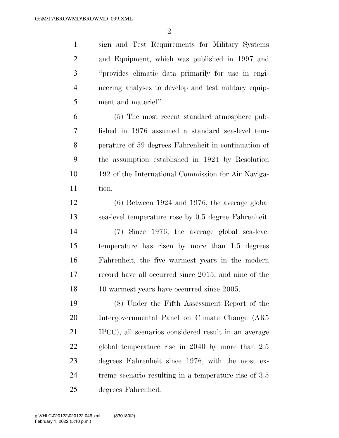sign and Test Requirements for Military Systems and Equipment, which was published in 1997 and ''provides climatic data primarily for use in engi- neering analyses to develop and test military equip-ment and materiel''.

 (5) The most recent standard atmosphere pub- lished in 1976 assumed a standard sea-level tem- perature of 59 degrees Fahrenheit in continuation of the assumption established in 1924 by Resolution 192 of the International Commission for Air Naviga-tion.

 (6) Between 1924 and 1976, the average global sea-level temperature rose by 0.5 degree Fahrenheit.

 (7) Since 1976, the average global sea-level temperature has risen by more than 1.5 degrees Fahrenheit, the five warmest years in the modern record have all occurred since 2015, and nine of the 18 10 warmest years have occurred since 2005.

 (8) Under the Fifth Assessment Report of the Intergovernmental Panel on Climate Change (AR5 IPCC), all scenarios considered result in an average global temperature rise in 2040 by more than 2.5 degrees Fahrenheit since 1976, with the most ex-24 treme scenario resulting in a temperature rise of 3.5 degrees Fahrenheit.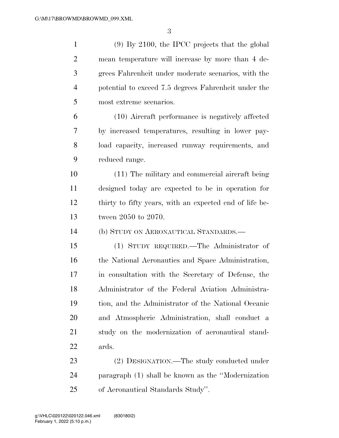(9) By 2100, the IPCC projects that the global mean temperature will increase by more than 4 de- grees Fahrenheit under moderate scenarios, with the potential to exceed 7.5 degrees Fahrenheit under the most extreme scenarios. (10) Aircraft performance is negatively affected by increased temperatures, resulting in lower pay- load capacity, increased runway requirements, and reduced range. (11) The military and commercial aircraft being designed today are expected to be in operation for thirty to fifty years, with an expected end of life be- tween 2050 to 2070. (b) STUDY ON AERONAUTICAL STANDARDS.— (1) STUDY REQUIRED.—The Administrator of 16 the National Aeronautics and Space Administration, in consultation with the Secretary of Defense, the Administrator of the Federal Aviation Administra- tion, and the Administrator of the National Oceanic and Atmospheric Administration, shall conduct a study on the modernization of aeronautical stand- ards. (2) DESIGNATION.—The study conducted under paragraph (1) shall be known as the ''Modernization of Aeronautical Standards Study''.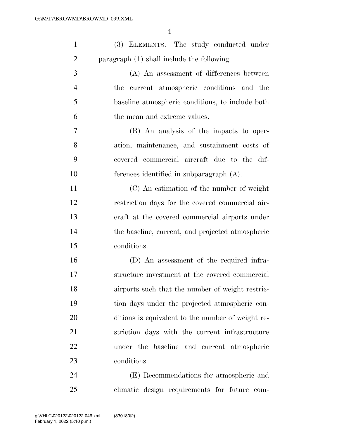| $\mathbf{1}$   | (3) ELEMENTS.—The study conducted under           |
|----------------|---------------------------------------------------|
| $\overline{2}$ | paragraph (1) shall include the following:        |
| 3              | (A) An assessment of differences between          |
| $\overline{4}$ | current atmospheric conditions and the<br>the     |
| 5              | baseline atmospheric conditions, to include both  |
| 6              | the mean and extreme values.                      |
| 7              | (B) An analysis of the impacts to oper-           |
| 8              | ation, maintenance, and sustainment costs of      |
| 9              | covered commercial aircraft due to the dif-       |
| 10             | ferences identified in subparagraph $(A)$ .       |
| 11             | (C) An estimation of the number of weight         |
| 12             | restriction days for the covered commercial air-  |
| 13             | eraft at the covered commercial airports under    |
| 14             | the baseline, current, and projected atmospheric  |
| 15             | conditions.                                       |
| 16             | (D) An assessment of the required infra-          |
| 17             | structure investment at the covered commercial    |
| 18             | airports such that the number of weight restric-  |
| 19             | tion days under the projected atmospheric con-    |
| 20             | ditions is equivalent to the number of weight re- |
| 21             | striction days with the current infrastructure    |
| 22             | under the baseline and current atmospheric        |
| 23             | conditions.                                       |
| 24             | (E) Recommendations for atmospheric and           |
| 25             | climatic design requirements for future com-      |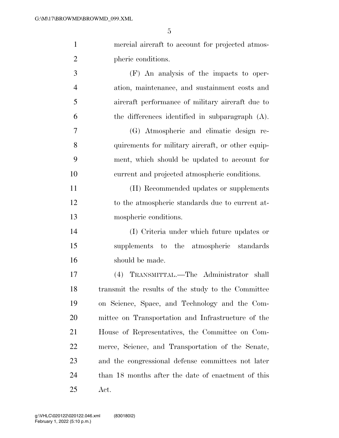| $\mathbf{1}$   | mercial aircraft to account for projected atmos-   |
|----------------|----------------------------------------------------|
| $\overline{2}$ | pheric conditions.                                 |
| 3              | (F) An analysis of the impacts to oper-            |
| $\overline{4}$ | ation, maintenance, and sustainment costs and      |
| 5              | aircraft performance of military aircraft due to   |
| 6              | the differences identified in subparagraph $(A)$ . |
| $\overline{7}$ | (G) Atmospheric and climatic design re-            |
| 8              | quirements for military aircraft, or other equip-  |
| 9              | ment, which should be updated to account for       |
| 10             | current and projected atmospheric conditions.      |
| 11             | (H) Recommended updates or supplements             |
| 12             | to the atmospheric standards due to current at-    |
| 13             | mospheric conditions.                              |
| 14             | (I) Criteria under which future updates or         |
| 15             | supplements to the atmospheric standards           |
| 16             | should be made.                                    |
| 17             | (4) TRANSMITTAL.—The Administrator<br>shall        |
| 18             | transmit the results of the study to the Committee |
| 19             | on Science, Space, and Technology and the Com-     |
| 20             | mittee on Transportation and Infrastructure of the |
| 21             | House of Representatives, the Committee on Com-    |
| 22             | merce, Science, and Transportation of the Senate,  |
| 23             | and the congressional defense committees not later |
| 24             | than 18 months after the date of enactment of this |
| 25             | Act.                                               |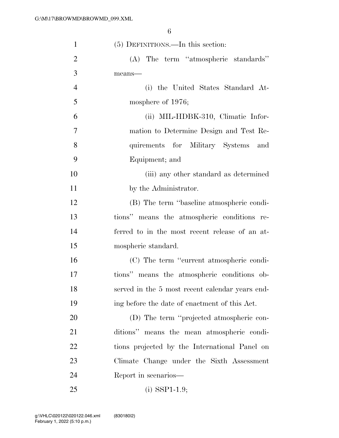| $\mathbf{1}$   | $(5)$ DEFINITIONS.—In this section:             |
|----------------|-------------------------------------------------|
| $\overline{2}$ | (A) The term "atmospheric standards"            |
| 3              | means-                                          |
| $\overline{4}$ | (i) the United States Standard At-              |
| 5              | mosphere of 1976;                               |
| 6              | (ii) MIL-HDBK-310, Climatic Infor-              |
| $\overline{7}$ | mation to Determine Design and Test Re-         |
| 8              | quirements for Military Systems and             |
| 9              | Equipment; and                                  |
| 10             | (iii) any other standard as determined          |
| 11             | by the Administrator.                           |
| 12             | (B) The term "baseline atmospheric condi-       |
| 13             | tions" means the atmospheric conditions re-     |
| 14             | ferred to in the most recent release of an at-  |
| 15             | mospheric standard.                             |
| 16             | (C) The term "current atmospheric condi-        |
| 17             | tions" means the atmospheric conditions ob-     |
| 18             | served in the 5 most recent calendar years end- |
| 19             | ing before the date of enactment of this Act.   |
| 20             | (D) The term "projected atmospheric con-        |
| 21             | ditions" means the mean atmospheric condi-      |
| 22             | tions projected by the International Panel on   |
| 23             | Climate Change under the Sixth Assessment       |
| 24             | Report in scenarios—                            |
| 25             | $(i)$ SSP1-1.9;                                 |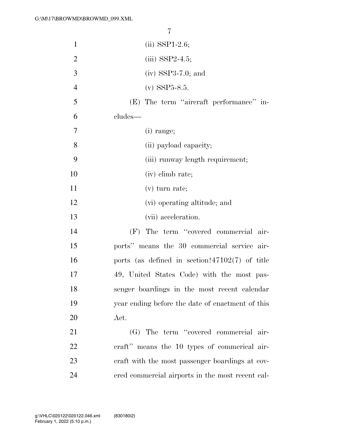| $\mathbf{1}$   | $(ii)$ SSP1-2.6;                                 |
|----------------|--------------------------------------------------|
| $\overline{2}$ | $(iii)$ SSP2-4.5;                                |
| 3              | $(iv)$ SSP3-7.0; and                             |
| $\overline{4}$ | $(v)$ SSP5-8.5.                                  |
| 5              | (E) The term "aircraft performance" in-          |
| 6              | cludes—                                          |
| 7              | $(i)$ range;                                     |
| 8              | (ii) payload capacity;                           |
| 9              | (iii) runway length requirement;                 |
| 10             | (iv) elimb rate;                                 |
| 11             | $(v)$ turn rate;                                 |
| 12             | (vi) operating altitude; and                     |
| 13             | (vii) acceleration.                              |
| 14             | (F) The term "covered commercial air-            |
| 15             | ports" means the 30 commercial service air-      |
| 16             | ports (as defined in section?47102(7) of title   |
| 17             | 49, United States Code) with the most pas-       |
| 18             | senger boardings in the most recent calendar     |
| 19             | year ending before the date of enactment of this |
| 20             | Act.                                             |
| 21             | (G) The term "covered commercial air-            |
| 22             | eraft" means the 10 types of commerical air-     |
| 23             | eraft with the most passenger boardings at cov-  |
| 24             | ered commercial airports in the most recent cal- |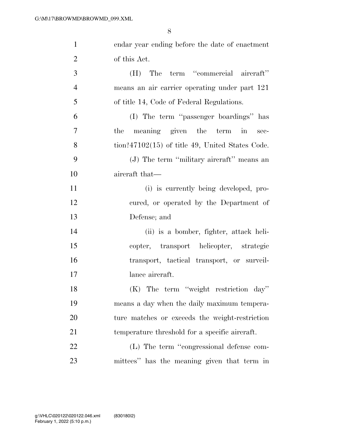| $\mathbf{1}$   | endar year ending before the date of enactment                       |
|----------------|----------------------------------------------------------------------|
| $\overline{2}$ | of this Act.                                                         |
| 3              | (H) The term "commercial aircraft"                                   |
| $\overline{4}$ | means an air carrier operating under part 121                        |
| 5              | of title 14, Code of Federal Regulations.                            |
| 6              | (I) The term "passenger boardings" has                               |
| $\tau$         | meaning given the term in<br>the<br>sec-                             |
| 8              | $\frac{\text{tion?47102}(15)}{100}$ of title 49, United States Code. |
| 9              | (J) The term "military aircraft" means an                            |
| 10             | aircraft that-                                                       |
| 11             | (i) is currently being developed, pro-                               |
| 12             | cured, or operated by the Department of                              |
| 13             | Defense; and                                                         |
| 14             | (ii) is a bomber, fighter, attack heli-                              |
| 15             | copter, transport helicopter, strategic                              |
| 16             | transport, tactical transport, or surveil-                           |
| 17             | lance aircraft.                                                      |
| 18             | (K) The term "weight restriction day"                                |
| 19             | means a day when the daily maximum tempera-                          |
| 20             | ture matches or exceeds the weight-restriction                       |
| 21             | temperature threshold for a specific aircraft.                       |
| 22             | (L) The term "congressional defense com-                             |
| 23             | mittees" has the meaning given that term in                          |